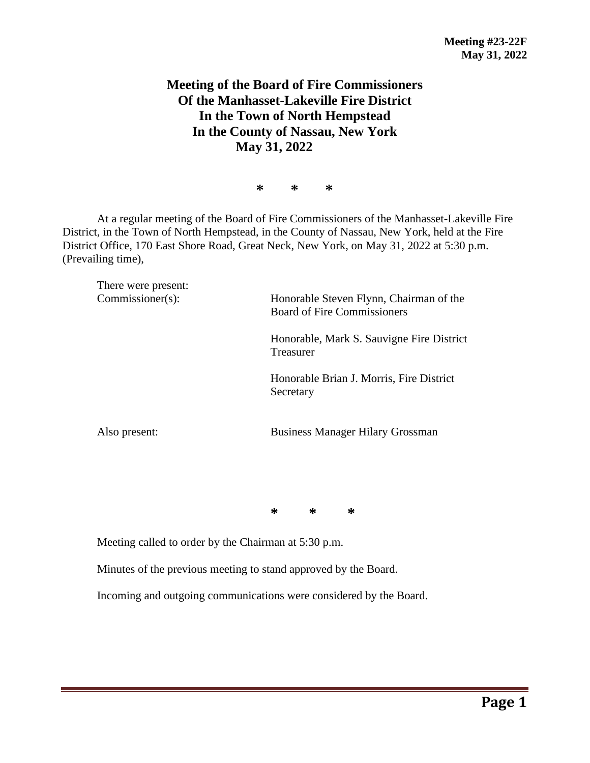## **Meeting of the Board of Fire Commissioners Of the Manhasset-Lakeville Fire District In the Town of North Hempstead In the County of Nassau, New York May 31, 2022**

**\* \* \***

At a regular meeting of the Board of Fire Commissioners of the Manhasset-Lakeville Fire District, in the Town of North Hempstead, in the County of Nassau, New York, held at the Fire District Office, 170 East Shore Road, Great Neck, New York, on May 31, 2022 at 5:30 p.m. (Prevailing time),

There were present: Commissioner(s): Honorable Steven Flynn, Chairman of the Board of Fire Commissioners Honorable, Mark S. Sauvigne Fire District Treasurer Honorable Brian J. Morris, Fire District Secretary Also present: Business Manager Hilary Grossman

**\* \* \***

Meeting called to order by the Chairman at 5:30 p.m.

Minutes of the previous meeting to stand approved by the Board.

Incoming and outgoing communications were considered by the Board.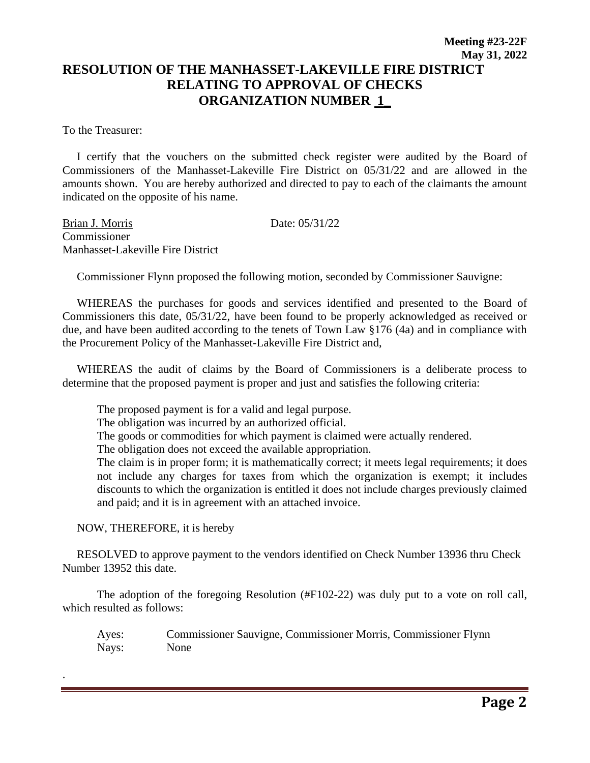To the Treasurer:

 I certify that the vouchers on the submitted check register were audited by the Board of Commissioners of the Manhasset-Lakeville Fire District on 05/31/22 and are allowed in the amounts shown. You are hereby authorized and directed to pay to each of the claimants the amount indicated on the opposite of his name.

Brian J. Morris Date: 05/31/22 Commissioner Manhasset-Lakeville Fire District

Commissioner Flynn proposed the following motion, seconded by Commissioner Sauvigne:

 WHEREAS the purchases for goods and services identified and presented to the Board of Commissioners this date, 05/31/22, have been found to be properly acknowledged as received or due, and have been audited according to the tenets of Town Law §176 (4a) and in compliance with the Procurement Policy of the Manhasset-Lakeville Fire District and,

 WHEREAS the audit of claims by the Board of Commissioners is a deliberate process to determine that the proposed payment is proper and just and satisfies the following criteria:

The proposed payment is for a valid and legal purpose.

The obligation was incurred by an authorized official.

The goods or commodities for which payment is claimed were actually rendered.

The obligation does not exceed the available appropriation.

The claim is in proper form; it is mathematically correct; it meets legal requirements; it does not include any charges for taxes from which the organization is exempt; it includes discounts to which the organization is entitled it does not include charges previously claimed and paid; and it is in agreement with an attached invoice.

NOW, THEREFORE, it is hereby

.

 RESOLVED to approve payment to the vendors identified on Check Number 13936 thru Check Number 13952 this date.

The adoption of the foregoing Resolution (#F102-22) was duly put to a vote on roll call, which resulted as follows:

Ayes: Commissioner Sauvigne, Commissioner Morris, Commissioner Flynn Nays: None